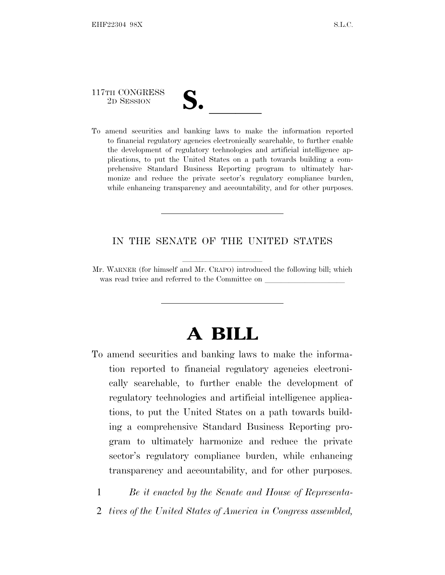# 117TH CONGRESS

117TH CONGRESS<br>
2D SESSION<br>
To amend securities and banking laws to make the information reported to financial regulatory agencies electronically searchable, to further enable the development of regulatory technologies and artificial intelligence applications, to put the United States on a path towards building a comprehensive Standard Business Reporting program to ultimately harmonize and reduce the private sector's regulatory compliance burden, while enhancing transparency and accountability, and for other purposes.

# IN THE SENATE OF THE UNITED STATES

Mr. WARNER (for himself and Mr. CRAPO) introduced the following bill; which was read twice and referred to the Committee on

# **A BILL**

To amend securities and banking laws to make the information reported to financial regulatory agencies electronically searchable, to further enable the development of regulatory technologies and artificial intelligence applications, to put the United States on a path towards building a comprehensive Standard Business Reporting program to ultimately harmonize and reduce the private sector's regulatory compliance burden, while enhancing transparency and accountability, and for other purposes.

1 *Be it enacted by the Senate and House of Representa-*

2 *tives of the United States of America in Congress assembled,*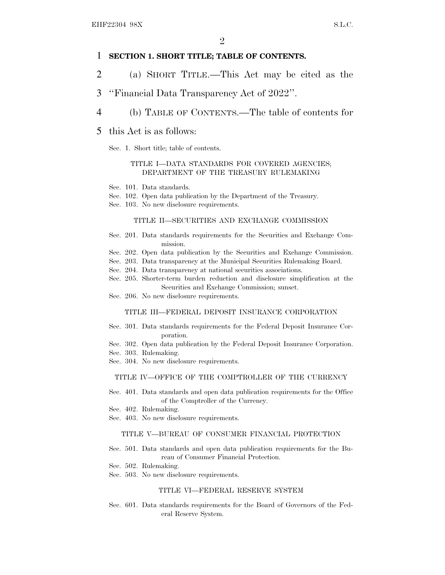### 1 **SECTION 1. SHORT TITLE; TABLE OF CONTENTS.**

- 2 (a) SHORT TITLE.—This Act may be cited as the
- 3 ''Financial Data Transparency Act of 2022''.
- 4 (b) TABLE OF CONTENTS.—The table of contents for
- 5 this Act is as follows:
	- Sec. 1. Short title; table of contents.

#### TITLE I—DATA STANDARDS FOR COVERED AGENCIES; DEPARTMENT OF THE TREASURY RULEMAKING

- Sec. 101. Data standards.
- Sec. 102. Open data publication by the Department of the Treasury.
- Sec. 103. No new disclosure requirements.

#### TITLE II—SECURITIES AND EXCHANGE COMMISSION

- Sec. 201. Data standards requirements for the Securities and Exchange Commission.
- Sec. 202. Open data publication by the Securities and Exchange Commission.
- Sec. 203. Data transparency at the Municipal Securities Rulemaking Board.
- Sec. 204. Data transparency at national securities associations.
- Sec. 205. Shorter-term burden reduction and disclosure simplification at the Securities and Exchange Commission; sunset.
- Sec. 206. No new disclosure requirements.

#### TITLE III—FEDERAL DEPOSIT INSURANCE CORPORATION

- Sec. 301. Data standards requirements for the Federal Deposit Insurance Corporation.
- Sec. 302. Open data publication by the Federal Deposit Insurance Corporation.
- Sec. 303. Rulemaking.
- Sec. 304. No new disclosure requirements.

#### TITLE IV—OFFICE OF THE COMPTROLLER OF THE CURRENCY

- Sec. 401. Data standards and open data publication requirements for the Office of the Comptroller of the Currency.
- Sec. 402. Rulemaking.
- Sec. 403. No new disclosure requirements.

#### TITLE V—BUREAU OF CONSUMER FINANCIAL PROTECTION

- Sec. 501. Data standards and open data publication requirements for the Bureau of Consumer Financial Protection.
- Sec. 502. Rulemaking.
- Sec. 503. No new disclosure requirements.

#### TITLE VI—FEDERAL RESERVE SYSTEM

Sec. 601. Data standards requirements for the Board of Governors of the Federal Reserve System.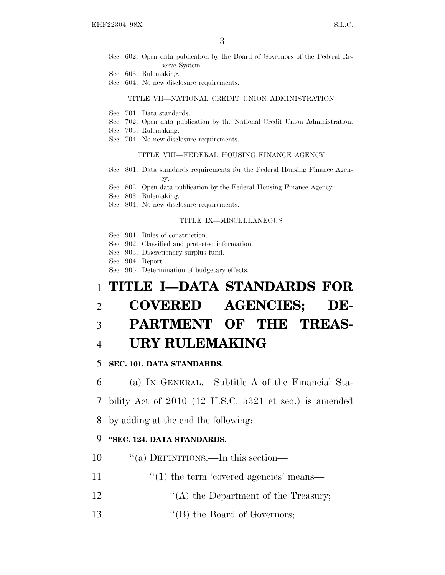- Sec. 602. Open data publication by the Board of Governors of the Federal Reserve System.
- Sec. 603. Rulemaking.
- Sec. 604. No new disclosure requirements.

#### TITLE VII—NATIONAL CREDIT UNION ADMINISTRATION

- Sec. 701. Data standards.
- Sec. 702. Open data publication by the National Credit Union Administration.
- Sec. 703. Rulemaking.
- Sec. 704. No new disclosure requirements.

#### TITLE VIII—FEDERAL HOUSING FINANCE AGENCY

- Sec. 801. Data standards requirements for the Federal Housing Finance Agency.
- Sec. 802. Open data publication by the Federal Housing Finance Agency.
- Sec. 803. Rulemaking.
- Sec. 804. No new disclosure requirements.

#### TITLE IX—MISCELLANEOUS

- Sec. 901. Rules of construction.
- Sec. 902. Classified and protected information.
- Sec. 903. Discretionary surplus fund.
- Sec. 904. Report.
- Sec. 905. Determination of budgetary effects.

# 1 **TITLE I—DATA STANDARDS FOR**

# 2 **COVERED AGENCIES; DE-**

# 3 **PARTMENT OF THE TREAS-**

# 4 **URY RULEMAKING**

## 5 **SEC. 101. DATA STANDARDS.**

6 (a) I<sup>N</sup> GENERAL.—Subtitle A of the Financial Sta-

7 bility Act of 2010 (12 U.S.C. 5321 et seq.) is amended

8 by adding at the end the following:

## 9 **''SEC. 124. DATA STANDARDS.**

- 10  $\frac{10}{10}$   $\frac{10}{10}$  DEFINITIONS.—In this section—
- 11  $\frac{1}{2}$  (1) the term 'covered agencies' means—
- 12  $\langle (A)$  the Department of the Treasury;
- 13 ''(B) the Board of Governors;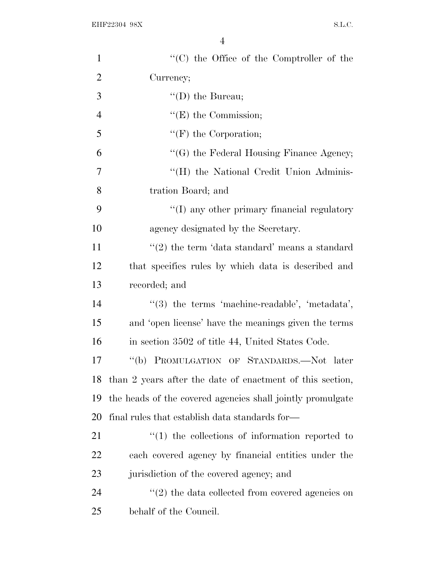| $\mathbf{1}$   | $\lq\lq$ (C) the Office of the Comptroller of the          |
|----------------|------------------------------------------------------------|
| $\overline{2}$ | Currency;                                                  |
| 3              | $\lq\lq$ (D) the Bureau;                                   |
| $\overline{4}$ | $\lq\lq(E)$ the Commission;                                |
| 5              | $\lq\lq(F)$ the Corporation;                               |
| 6              | "(G) the Federal Housing Finance Agency;                   |
| $\overline{7}$ | "(H) the National Credit Union Adminis-                    |
| 8              | tration Board; and                                         |
| 9              | "(I) any other primary financial regulatory                |
| 10             | agency designated by the Secretary.                        |
| 11             | $\lq(2)$ the term 'data standard' means a standard         |
| 12             | that specifies rules by which data is described and        |
| 13             | recorded; and                                              |
| 14             | $\lq(3)$ the terms 'machine-readable', 'metadata',         |
| 15             | and 'open license' have the meanings given the terms       |
| 16             | in section 3502 of title 44, United States Code.           |
| 17             | PROMULGATION OF STANDARDS.-Not later<br>$\lq\lq(b)$        |
| 18             | than 2 years after the date of enactment of this section,  |
| 19             | the heads of the covered agencies shall jointly promulgate |
| 20             | final rules that establish data standards for—             |
| 21             | $\lq(1)$ the collections of information reported to        |
| 22             | each covered agency by financial entities under the        |
| 23             | jurisdiction of the covered agency; and                    |
| 24             | $\lq(2)$ the data collected from covered agencies on       |
| 25             | behalf of the Council.                                     |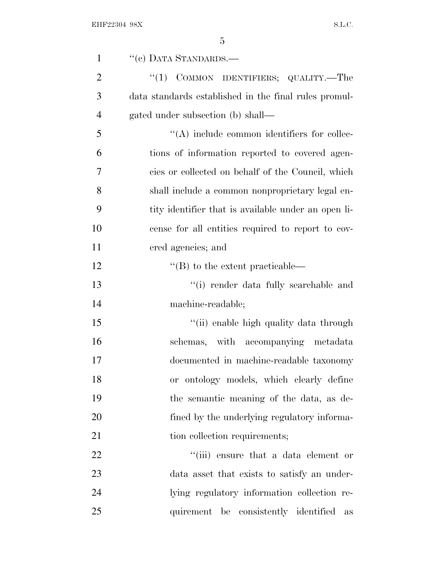| $\mathbf{1}$   | "(c) DATA STANDARDS.-                                 |
|----------------|-------------------------------------------------------|
| $\overline{2}$ | COMMON IDENTIFIERS; QUALITY.—The<br>``(1)             |
| 3              | data standards established in the final rules promul- |
| $\overline{4}$ | gated under subsection (b) shall—                     |
| 5              | $\lq\lq$ include common identifiers for collec-       |
| 6              | tions of information reported to covered agen-        |
| 7              | cies or collected on behalf of the Council, which     |
| 8              | shall include a common nonproprietary legal en-       |
| 9              | tity identifier that is available under an open li-   |
| 10             | cense for all entities required to report to cov-     |
| 11             | ered agencies; and                                    |
| 12             | $\lq$ (B) to the extent practicable—                  |
| 13             | "(i) render data fully searchable and                 |
| 14             | machine-readable;                                     |
| 15             | "(ii) enable high quality data through                |
| 16             | schemas, with accompanying metadata                   |
| 17             | documented in machine-readable taxonomy               |
| 18             | or ontology models, which clearly define              |
| 19             | the semantic meaning of the data, as de-              |
| 20             | fined by the underlying regulatory informa-           |
| 21             | tion collection requirements;                         |
| 22             | "(iii) ensure that a data element or                  |
| 23             | data asset that exists to satisfy an under-           |
| 24             | lying regulatory information collection re-           |
| 25             | quirement be consistently identified<br>as            |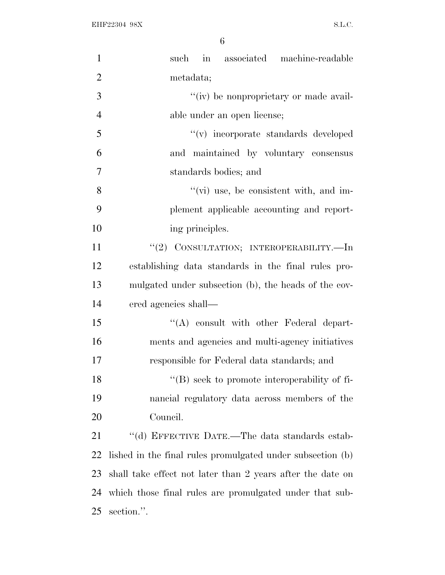| $\mathbf{1}$   | in associated machine-readable<br>such                     |
|----------------|------------------------------------------------------------|
| $\overline{2}$ | metadata;                                                  |
| 3              | "(iv) be nonproprietary or made avail-                     |
| $\overline{4}$ | able under an open license;                                |
| 5              | "(v) incorporate standards developed                       |
| 6              | and maintained by voluntary consensus                      |
| $\tau$         | standards bodies; and                                      |
| 8              | $\lq\lq$ (vi) use, be consistent with, and im-             |
| 9              | plement applicable accounting and report-                  |
| 10             | ing principles.                                            |
| 11             | "(2) CONSULTATION; INTEROPERABILITY.—In                    |
| 12             | establishing data standards in the final rules pro-        |
| 13             | mulgated under subsection (b), the heads of the cov-       |
| 14             | ered agencies shall—                                       |
| 15             | "(A) consult with other Federal depart-                    |
| 16             | ments and agencies and multi-agency initiatives            |
| 17             | responsible for Federal data standards; and                |
| 18             | "(B) seek to promote interoperability of fi-               |
| 19             | nancial regulatory data across members of the              |
| 20             | Council.                                                   |
| 21             | "(d) EFFECTIVE DATE.—The data standards estab-             |
| 22             | lished in the final rules promulgated under subsection (b) |
| 23             | shall take effect not later than 2 years after the date on |
| 24             | which those final rules are promulgated under that sub-    |
| 25             | section.".                                                 |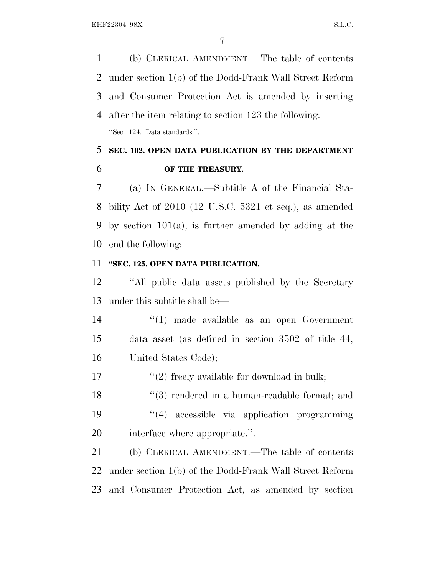(b) CLERICAL AMENDMENT.—The table of contents under section 1(b) of the Dodd-Frank Wall Street Reform and Consumer Protection Act is amended by inserting after the item relating to section 123 the following: ''Sec. 124. Data standards.''.

 **SEC. 102. OPEN DATA PUBLICATION BY THE DEPARTMENT OF THE TREASURY.**

 (a) I<sup>N</sup> GENERAL.—Subtitle A of the Financial Sta- bility Act of 2010 (12 U.S.C. 5321 et seq.), as amended by section 101(a), is further amended by adding at the end the following:

# **''SEC. 125. OPEN DATA PUBLICATION.**

 ''All public data assets published by the Secretary under this subtitle shall be—

 ''(1) made available as an open Government data asset (as defined in section 3502 of title 44, United States Code);

17  $\frac{17}{2}$  freely available for download in bulk;

18 ''(3) rendered in a human-readable format; and ''(4) accessible via application programming interface where appropriate.''.

 (b) CLERICAL AMENDMENT.—The table of contents under section 1(b) of the Dodd-Frank Wall Street Reform and Consumer Protection Act, as amended by section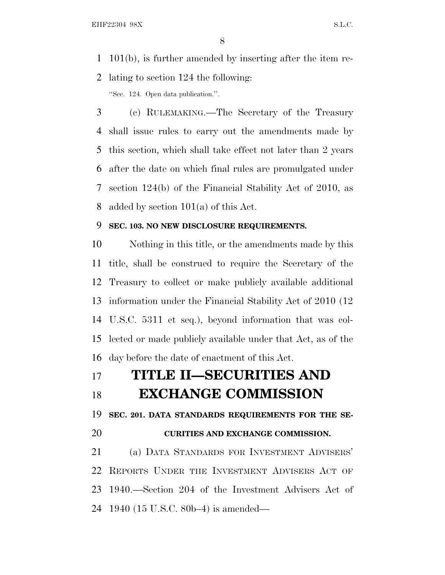101(b), is further amended by inserting after the item re-lating to section 124 the following:

''Sec. 124. Open data publication.''.

 (c) RULEMAKING.—The Secretary of the Treasury shall issue rules to carry out the amendments made by this section, which shall take effect not later than 2 years after the date on which final rules are promulgated under section 124(b) of the Financial Stability Act of 2010, as added by section 101(a) of this Act.

# **SEC. 103. NO NEW DISCLOSURE REQUIREMENTS.**

 Nothing in this title, or the amendments made by this title, shall be construed to require the Secretary of the Treasury to collect or make publicly available additional information under the Financial Stability Act of 2010 (12 U.S.C. 5311 et seq.), beyond information that was col- lected or made publicly available under that Act, as of the day before the date of enactment of this Act.

| 17 | <b>TITLE II-SECURITIES AND</b> |
|----|--------------------------------|
|    | <b>TWATE ANGEL COMMUNICANT</b> |

# **EXCHANGE COMMISSION**

**SEC. 201. DATA STANDARDS REQUIREMENTS FOR THE SE-**

# **CURITIES AND EXCHANGE COMMISSION.**

 (a) DATA STANDARDS FOR INVESTMENT ADVISERS' REPORTS UNDER THE INVESTMENT ADVISERS ACT OF 1940.—Section 204 of the Investment Advisers Act of 1940 (15 U.S.C. 80b–4) is amended—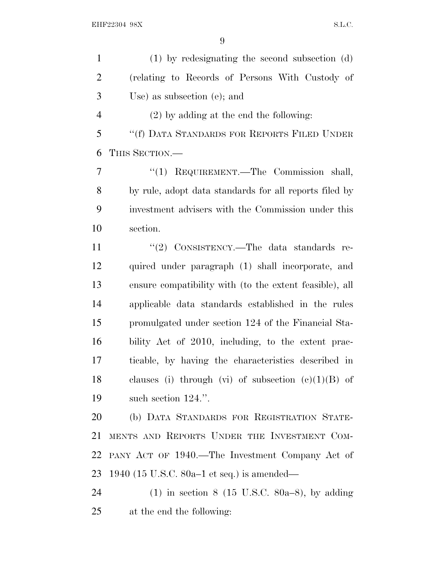(1) by redesignating the second subsection (d) (relating to Records of Persons With Custody of Use) as subsection (e); and (2) by adding at the end the following: ''(f) DATA STANDARDS FOR REPORTS FILED UNDER THIS SECTION.—

 ''(1) REQUIREMENT.—The Commission shall, by rule, adopt data standards for all reports filed by investment advisers with the Commission under this section.

11 "(2) CONSISTENCY.—The data standards re- quired under paragraph (1) shall incorporate, and ensure compatibility with (to the extent feasible), all applicable data standards established in the rules promulgated under section 124 of the Financial Sta- bility Act of 2010, including, to the extent prac- ticable, by having the characteristics described in 18 clauses (i) through (vi) of subsection  $(c)(1)(B)$  of such section 124.''.

 (b) DATA STANDARDS FOR REGISTRATION STATE- MENTS AND REPORTS UNDER THE INVESTMENT COM- PANY ACT OF 1940.—The Investment Company Act of 1940 (15 U.S.C. 80a–1 et seq.) is amended—

 (1) in section 8 (15 U.S.C. 80a–8), by adding at the end the following: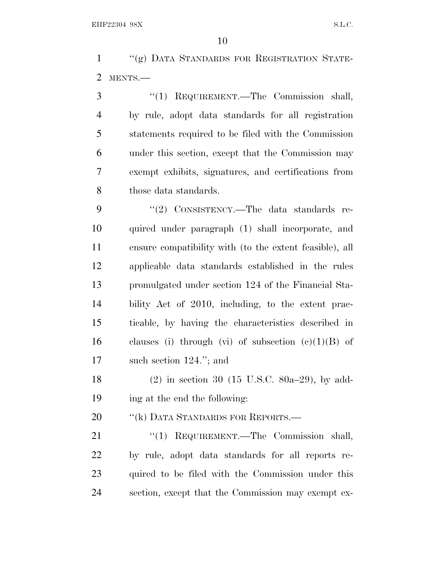''(g) DATA STANDARDS FOR REGISTRATION STATE-MENTS.—

 ''(1) REQUIREMENT.—The Commission shall, by rule, adopt data standards for all registration statements required to be filed with the Commission under this section, except that the Commission may exempt exhibits, signatures, and certifications from 8 those data standards.

9 "(2) CONSISTENCY.—The data standards re- quired under paragraph (1) shall incorporate, and ensure compatibility with (to the extent feasible), all applicable data standards established in the rules promulgated under section 124 of the Financial Sta- bility Act of 2010, including, to the extent prac- ticable, by having the characteristics described in 16 clauses (i) through (vi) of subsection  $(e)(1)(B)$  of such section 124.''; and

 (2) in section 30 (15 U.S.C. 80a–29), by add-ing at the end the following:

20 "(k) DATA STANDARDS FOR REPORTS.—

21 "(1) REQUIREMENT.—The Commission shall, by rule, adopt data standards for all reports re- quired to be filed with the Commission under this section, except that the Commission may exempt ex-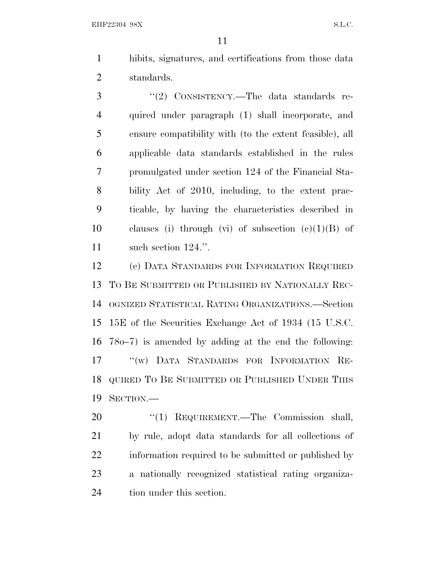hibits, signatures, and certifications from those data standards.

3 "(2) CONSISTENCY.—The data standards re- quired under paragraph (1) shall incorporate, and ensure compatibility with (to the extent feasible), all applicable data standards established in the rules promulgated under section 124 of the Financial Sta- bility Act of 2010, including, to the extent prac- ticable, by having the characteristics described in 10 clauses (i) through (vi) of subsection  $(c)(1)(B)$  of 11 such section 124.".

 (c) DATA STANDARDS FOR INFORMATION REQUIRED T<sup>O</sup> B<sup>E</sup> SUBMITTED OR PUBLISHED BY NATIONALLY REC- OGNIZED STATISTICAL RATING ORGANIZATIONS.—Section 15E of the Securities Exchange Act of 1934 (15 U.S.C. 78o–7) is amended by adding at the end the following: ''(w) DATA STANDARDS FOR INFORMATION RE- QUIRED T<sup>O</sup> B<sup>E</sup> SUBMITTED OR PUBLISHED UNDER THIS SECTION.—

20 "(1) REQUIREMENT.—The Commission shall, by rule, adopt data standards for all collections of information required to be submitted or published by a nationally recognized statistical rating organiza-tion under this section.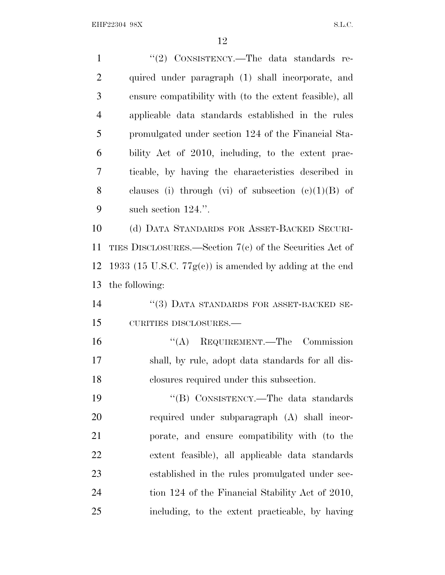| $\mathbf{1}$   | "(2) CONSISTENCY.—The data standards re-                   |
|----------------|------------------------------------------------------------|
| $\overline{2}$ | quired under paragraph (1) shall incorporate, and          |
| 3              | ensure compatibility with (to the extent feasible), all    |
| $\overline{4}$ | applicable data standards established in the rules         |
| 5              | promulgated under section 124 of the Financial Sta-        |
| 6              | bility Act of 2010, including, to the extent prac-         |
| 7              | ticable, by having the characteristics described in        |
| 8              | clauses (i) through (vi) of subsection $(c)(1)(B)$ of      |
| 9              | such section 124.".                                        |
| 10             | (d) DATA STANDARDS FOR ASSET-BACKED SECURI-                |
| 11             | TIES DISCLOSURES.—Section $7(c)$ of the Securities Act of  |
| 12             | 1933 (15 U.S.C. $77g(c)$ ) is amended by adding at the end |
| 13             | the following:                                             |
| 14             | "(3) DATA STANDARDS FOR ASSET-BACKED SE-                   |
| 15             | CURITIES DISCLOSURES.-                                     |
| 16             | $\lq\lq$ REQUIREMENT. The Commission                       |
| 17             | shall, by rule, adopt data standards for all dis-          |
| 18             | closures required under this subsection.                   |
| 19             | "(B) CONSISTENCY.—The data standards                       |
| 20             | required under subparagraph (A) shall incor-               |
| 21             | porate, and ensure compatibility with (to the              |
| 22             | extent feasible), all applicable data standards            |
| 23             | established in the rules promulgated under sec-            |
| 24             | tion 124 of the Financial Stability Act of 2010,           |
| 25             | including, to the extent practicable, by having            |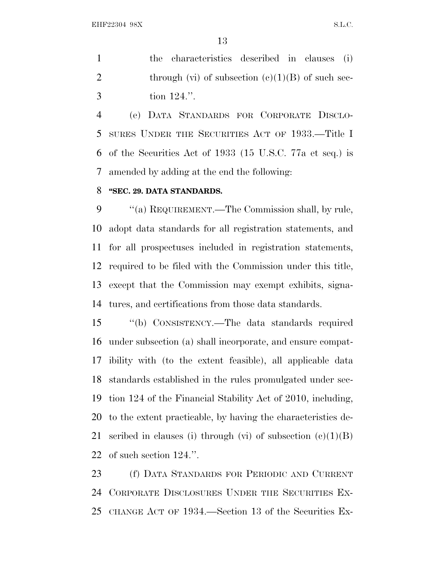the characteristics described in clauses (i) 2 through (vi) of subsection  $(c)(1)(B)$  of such sec-tion 124.''.

 (e) DATA STANDARDS FOR CORPORATE DISCLO- SURES UNDER THE SECURITIES ACT OF 1933.—Title I of the Securities Act of 1933 (15 U.S.C. 77a et seq.) is amended by adding at the end the following:

## **''SEC. 29. DATA STANDARDS.**

9 ""(a) REQUIREMENT.—The Commission shall, by rule, adopt data standards for all registration statements, and for all prospectuses included in registration statements, required to be filed with the Commission under this title, except that the Commission may exempt exhibits, signa-tures, and certifications from those data standards.

 ''(b) CONSISTENCY.—The data standards required under subsection (a) shall incorporate, and ensure compat- ibility with (to the extent feasible), all applicable data standards established in the rules promulgated under sec- tion 124 of the Financial Stability Act of 2010, including, to the extent practicable, by having the characteristics de-21 scribed in clauses (i) through (vi) of subsection  $(c)(1)(B)$ of such section 124.''.

 (f) DATA STANDARDS FOR PERIODIC AND CURRENT CORPORATE DISCLOSURES UNDER THE SECURITIES EX-CHANGE ACT OF 1934.—Section 13 of the Securities Ex-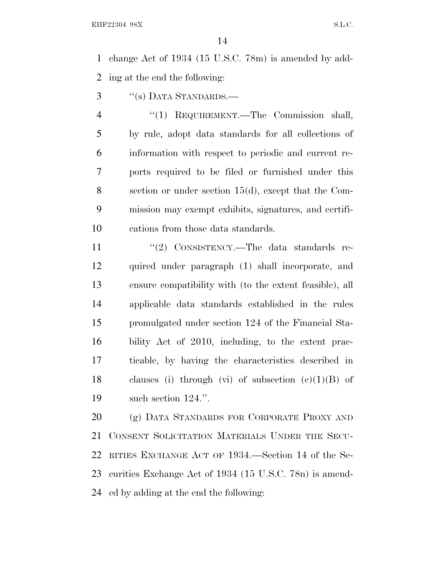change Act of 1934 (15 U.S.C. 78m) is amended by add-ing at the end the following:

''(s) DATA STANDARDS.—

 ''(1) REQUIREMENT.—The Commission shall, by rule, adopt data standards for all collections of information with respect to periodic and current re- ports required to be filed or furnished under this section or under section 15(d), except that the Com- mission may exempt exhibits, signatures, and certifi-cations from those data standards.

11 "(2) CONSISTENCY.—The data standards re- quired under paragraph (1) shall incorporate, and ensure compatibility with (to the extent feasible), all applicable data standards established in the rules promulgated under section 124 of the Financial Sta- bility Act of 2010, including, to the extent prac- ticable, by having the characteristics described in 18 clauses (i) through (vi) of subsection  $(c)(1)(B)$  of such section 124.''.

 (g) DATA STANDARDS FOR CORPORATE PROXY AND CONSENT SOLICITATION MATERIALS UNDER THE SECU- RITIES EXCHANGE ACT OF 1934.—Section 14 of the Se- curities Exchange Act of 1934 (15 U.S.C. 78n) is amend-ed by adding at the end the following: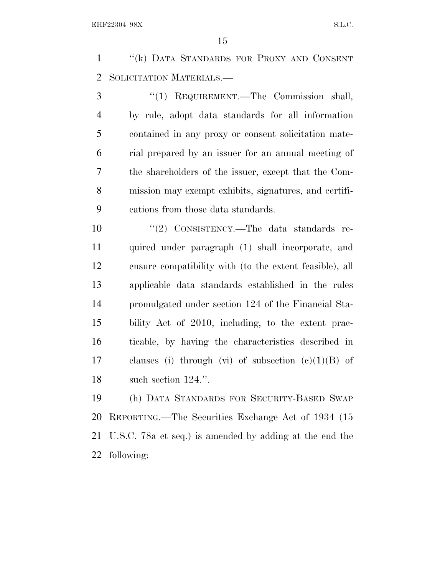''(k) DATA STANDARDS FOR PROXY AND CONSENT SOLICITATION MATERIALS.—

 ''(1) REQUIREMENT.—The Commission shall, by rule, adopt data standards for all information contained in any proxy or consent solicitation mate- rial prepared by an issuer for an annual meeting of the shareholders of the issuer, except that the Com- mission may exempt exhibits, signatures, and certifi-cations from those data standards.

10 "(2) CONSISTENCY.—The data standards re- quired under paragraph (1) shall incorporate, and ensure compatibility with (to the extent feasible), all applicable data standards established in the rules promulgated under section 124 of the Financial Sta- bility Act of 2010, including, to the extent prac- ticable, by having the characteristics described in 17 clauses (i) through (vi) of subsection  $(c)(1)(B)$  of 18 such section 124.".

 (h) DATA STANDARDS FOR SECURITY-BASED SWAP REPORTING.—The Securities Exchange Act of 1934 (15 U.S.C. 78a et seq.) is amended by adding at the end the following: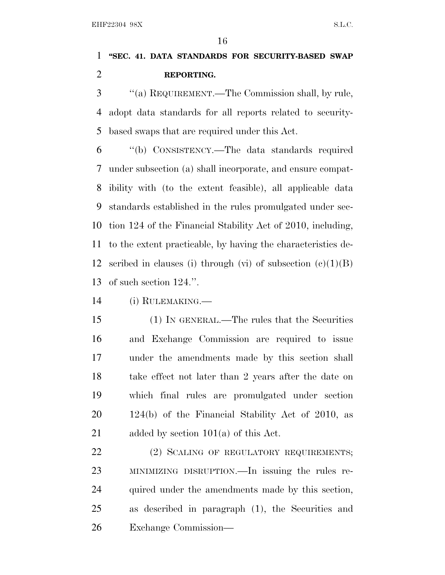# **''SEC. 41. DATA STANDARDS FOR SECURITY-BASED SWAP REPORTING.**

 ''(a) REQUIREMENT.—The Commission shall, by rule, adopt data standards for all reports related to security-based swaps that are required under this Act.

 ''(b) CONSISTENCY.—The data standards required under subsection (a) shall incorporate, and ensure compat- ibility with (to the extent feasible), all applicable data standards established in the rules promulgated under sec- tion 124 of the Financial Stability Act of 2010, including, to the extent practicable, by having the characteristics de-12 scribed in clauses (i) through (vi) of subsection  $(c)(1)(B)$ of such section 124.''.

(i) RULEMAKING.—

 (1) IN GENERAL.—The rules that the Securities and Exchange Commission are required to issue under the amendments made by this section shall take effect not later than 2 years after the date on which final rules are promulgated under section 124(b) of the Financial Stability Act of 2010, as 21 added by section 101(a) of this Act.

22 (2) SCALING OF REGULATORY REQUIREMENTS; MINIMIZING DISRUPTION.—In issuing the rules re- quired under the amendments made by this section, as described in paragraph (1), the Securities and Exchange Commission—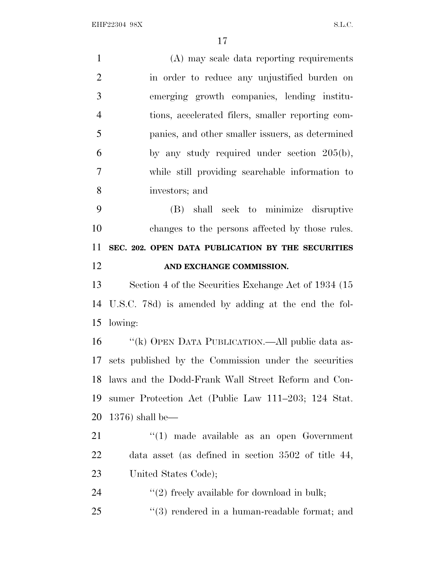| $\mathbf{1}$   | (A) may scale data reporting requirements             |
|----------------|-------------------------------------------------------|
| $\overline{2}$ | in order to reduce any unjustified burden on          |
| 3              | emerging growth companies, lending institu-           |
| $\overline{4}$ | tions, accelerated filers, smaller reporting com-     |
| 5              | panies, and other smaller issuers, as determined      |
| 6              | by any study required under section $205(b)$ ,        |
| $\tau$         | while still providing searchable information to       |
| 8              | investors; and                                        |
| 9              | (B) shall seek to minimize disruptive                 |
| 10             | changes to the persons affected by those rules.       |
| 11             | SEC. 202. OPEN DATA PUBLICATION BY THE SECURITIES     |
| 12             | AND EXCHANGE COMMISSION.                              |
| 13             | Section 4 of the Securities Exchange Act of 1934 (15) |
| 14             | U.S.C. 78d) is amended by adding at the end the fol-  |
| 15             | lowing:                                               |
| 16             | "(k) OPEN DATA PUBLICATION.—All public data as-       |
| 17             | sets published by the Commission under the securities |
| 18             | laws and the Dodd-Frank Wall Street Reform and Con-   |
| 19             | sumer Protection Act (Public Law 111–203; 124 Stat.   |
| 20             | $1376$ ) shall be—                                    |
| 21             | $\lq(1)$ made available as an open Government         |
| 22             | data asset (as defined in section $3502$ of title 44, |
| 23             | United States Code);                                  |
| 24             | $\lq(2)$ freely available for download in bulk;       |
| 25             | $(3)$ rendered in a human-readable format; and        |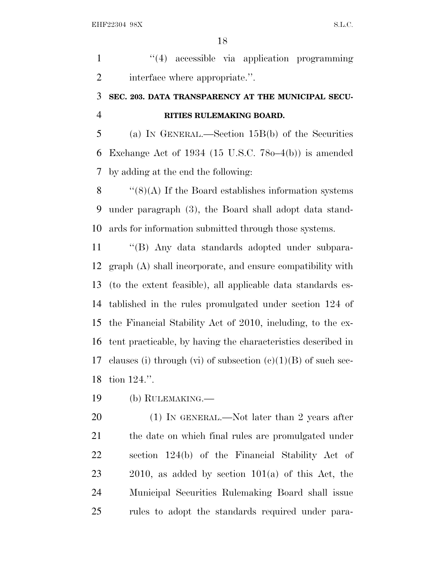1 "(4) accessible via application programming interface where appropriate.''.

# **SEC. 203. DATA TRANSPARENCY AT THE MUNICIPAL SECU-RITIES RULEMAKING BOARD.**

 (a) I<sup>N</sup> GENERAL.—Section 15B(b) of the Securities Exchange Act of 1934 (15 U.S.C. 78o–4(b)) is amended by adding at the end the following:

8  $\langle$  (8)(A) If the Board establishes information systems under paragraph (3), the Board shall adopt data stand-ards for information submitted through those systems.

 ''(B) Any data standards adopted under subpara- graph (A) shall incorporate, and ensure compatibility with (to the extent feasible), all applicable data standards es- tablished in the rules promulgated under section 124 of the Financial Stability Act of 2010, including, to the ex- tent practicable, by having the characteristics described in 17 clauses (i) through (vi) of subsection  $(e)(1)(B)$  of such sec-tion 124.''.

(b) RULEMAKING.—

20 (1) IN GENERAL.—Not later than 2 years after the date on which final rules are promulgated under section 124(b) of the Financial Stability Act of 2010, as added by section 101(a) of this Act, the Municipal Securities Rulemaking Board shall issue rules to adopt the standards required under para-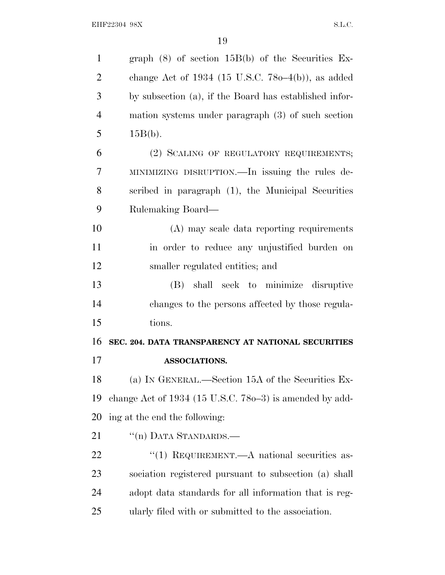| $\mathbf{1}$   | graph $(8)$ of section $15B(b)$ of the Securities Ex-     |
|----------------|-----------------------------------------------------------|
| $\overline{2}$ | change Act of 1934 (15 U.S.C. 780–4(b)), as added         |
| 3              | by subsection (a), if the Board has established infor-    |
| $\overline{4}$ | mation systems under paragraph $(3)$ of such section      |
| 5              | $15B(b)$ .                                                |
| 6              | (2) SCALING OF REGULATORY REQUIREMENTS;                   |
| 7              | MINIMIZING DISRUPTION.—In issuing the rules de-           |
| 8              | scribed in paragraph (1), the Municipal Securities        |
| 9              | Rulemaking Board—                                         |
| 10             | (A) may scale data reporting requirements                 |
| 11             | in order to reduce any unjustified burden on              |
| 12             | smaller regulated entities; and                           |
| 13             | shall seek to minimize disruptive<br>(B)                  |
| 14             | changes to the persons affected by those regula-          |
| 15             | tions.                                                    |
| 16             | SEC. 204. DATA TRANSPARENCY AT NATIONAL SECURITIES        |
| 17             | <b>ASSOCIATIONS.</b>                                      |
| 18             | (a) IN GENERAL.—Section 15A of the Securities Ex-         |
| 19             | change Act of $1934$ (15 U.S.C. 780–3) is amended by add- |
| 20             | ing at the end the following:                             |
| 21             | "(n) DATA STANDARDS.—                                     |
| 22             | "(1) REQUIREMENT.— $A$ national securities as-            |
| 23             | sociation registered pursuant to subsection (a) shall     |
| 24             | adopt data standards for all information that is reg-     |
| 25             | ularly filed with or submitted to the association.        |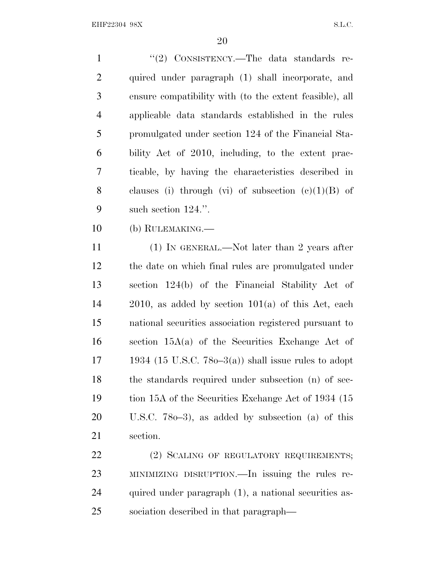| $\mathbf{1}$   | "(2) CONSISTENCY.—The data standards re-                 |
|----------------|----------------------------------------------------------|
| $\overline{2}$ | quired under paragraph (1) shall incorporate, and        |
| 3              | ensure compatibility with (to the extent feasible), all  |
| $\overline{4}$ | applicable data standards established in the rules       |
| 5              | promulgated under section 124 of the Financial Sta-      |
| 6              | bility Act of 2010, including, to the extent prac-       |
| 7              | ticable, by having the characteristics described in      |
| 8              | clauses (i) through (vi) of subsection $(e)(1)(B)$ of    |
| 9              | such section $124$ .".                                   |
| 10             | (b) RULEMAKING.—                                         |
| 11             | $(1)$ In GENERAL.—Not later than 2 years after           |
| 12             | the date on which final rules are promulgated under      |
| 13             | section 124(b) of the Financial Stability Act of         |
| 14             | $2010$ , as added by section $101(a)$ of this Act, each  |
| 15             | national securities association registered pursuant to   |
| 16             | section $15A(a)$ of the Securities Exchange Act of       |
| 17             | 1934 (15 U.S.C. 78 $o-3(a)$ ) shall issue rules to adopt |
| 18             | the standards required under subsection (n) of sec-      |
| 19             | tion 15A of the Securities Exchange Act of 1934 (15)     |
| 20             | U.S.C. $780-3$ , as added by subsection (a) of this      |
| 21             | section.                                                 |
| 22             | (2) SCALING OF REGULATORY REQUIREMENTS;                  |
| 23             | MINIMIZING DISRUPTION.—In issuing the rules re-          |
| 24             | quired under paragraph (1), a national securities as-    |

sociation described in that paragraph—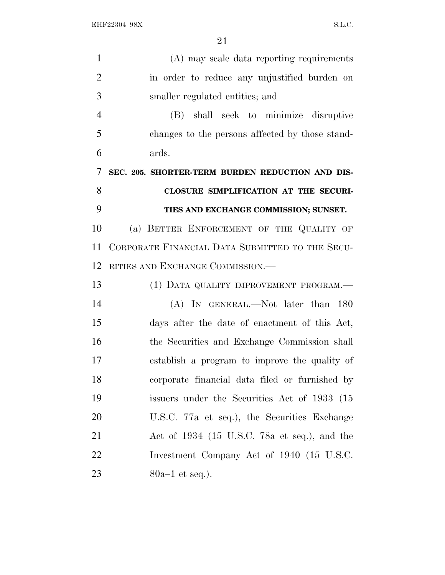| $\mathbf{1}$   | (A) may scale data reporting requirements        |
|----------------|--------------------------------------------------|
| $\overline{2}$ | in order to reduce any unjustified burden on     |
| 3              | smaller regulated entities; and                  |
| $\overline{4}$ | (B) shall seek to minimize disruptive            |
| 5              | changes to the persons affected by those stand-  |
| 6              | ards.                                            |
| 7              | SEC. 205. SHORTER-TERM BURDEN REDUCTION AND DIS- |
| 8              | CLOSURE SIMPLIFICATION AT THE SECURI-            |
| 9              | TIES AND EXCHANGE COMMISSION; SUNSET.            |
| 10             | (a) BETTER ENFORCEMENT OF THE QUALITY OF         |
| 11             | CORPORATE FINANCIAL DATA SUBMITTED TO THE SECU-  |
| 12             | RITIES AND EXCHANGE COMMISSION.                  |
| 13             | (1) DATA QUALITY IMPROVEMENT PROGRAM.—           |
| 14             | (A) IN GENERAL.—Not later than 180               |
| 15             | days after the date of enactment of this Act,    |
| 16             | the Securities and Exchange Commission shall     |
| 17             | establish a program to improve the quality of    |
| 18             | corporate financial data filed or furnished by   |
| 19             | issuers under the Securities Act of 1933 (15     |
| 20             | U.S.C. 77a et seq.), the Securities Exchange     |
| 21             | Act of $1934$ (15 U.S.C. 78a et seq.), and the   |
| 22             | Investment Company Act of 1940 (15 U.S.C.        |
| 23             | $80a-1$ et seq.).                                |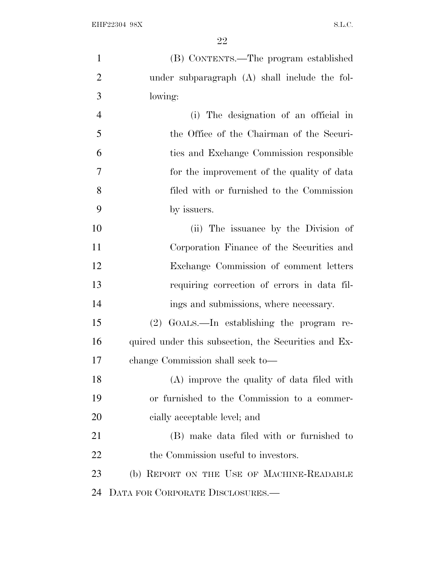| $\mathbf{1}$   | (B) CONTENTS.—The program established                |
|----------------|------------------------------------------------------|
| $\overline{2}$ | under subparagraph $(A)$ shall include the fol-      |
| 3              | lowing:                                              |
| $\overline{4}$ | (i) The designation of an official in                |
| 5              | the Office of the Chairman of the Securi-            |
| 6              | ties and Exchange Commission responsible             |
| 7              | for the improvement of the quality of data           |
| 8              | filed with or furnished to the Commission            |
| 9              | by issuers.                                          |
| 10             | (ii) The issuance by the Division of                 |
| 11             | Corporation Finance of the Securities and            |
| 12             | Exchange Commission of comment letters               |
| 13             | requiring correction of errors in data fil-          |
| 14             | ings and submissions, where necessary.               |
| 15             | $(2)$ GOALS.—In establishing the program re-         |
| 16             | quired under this subsection, the Securities and Ex- |
| 17             | change Commission shall seek to—                     |
| 18             | (A) improve the quality of data filed with           |
| 19             | or furnished to the Commission to a commer-          |
| 20             | cially acceptable level; and                         |
| 21             | (B) make data filed with or furnished to             |
| 22             | the Commission useful to investors.                  |
| 23             | (b) REPORT ON THE USE OF MACHINE-READABLE            |
| 24             | DATA FOR CORPORATE DISCLOSURES.—                     |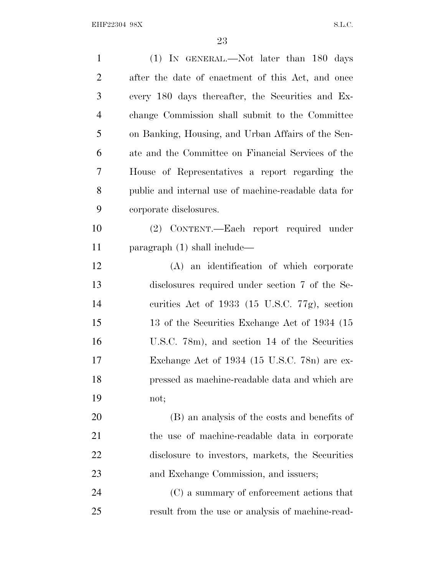| $\mathbf{1}$   | (1) IN GENERAL.—Not later than 180 days              |
|----------------|------------------------------------------------------|
| $\overline{2}$ | after the date of enactment of this Act, and once    |
| 3              | every 180 days thereafter, the Securities and Ex-    |
| $\overline{4}$ | change Commission shall submit to the Committee      |
| 5              | on Banking, Housing, and Urban Affairs of the Sen-   |
| 6              | ate and the Committee on Financial Services of the   |
| 7              | House of Representatives a report regarding the      |
| 8              | public and internal use of machine-readable data for |
| 9              | corporate disclosures.                               |
| 10             | (2) CONTENT.—Each report required under              |
| 11             | paragraph $(1)$ shall include—                       |
| 12             | (A) an identification of which corporate             |
| 13             | disclosures required under section 7 of the Se-      |
| 14             | curities Act of 1933 (15 U.S.C. 77g), section        |
| 15             | 13 of the Securities Exchange Act of 1934 (15        |
| 16             | U.S.C. 78m), and section 14 of the Securities        |
| 17             | Exchange Act of 1934 (15 U.S.C. 78n) are ex-         |
| 18             | pressed as machine-readable data and which are       |
| 19             | not;                                                 |
| 20             | (B) an analysis of the costs and benefits of         |
| 21             | the use of machine-readable data in corporate        |
| 22             | disclosure to investors, markets, the Securities     |
| 23             | and Exchange Commission, and issuers;                |
| 24             | (C) a summary of enforcement actions that            |
| 25             | result from the use or analysis of machine-read-     |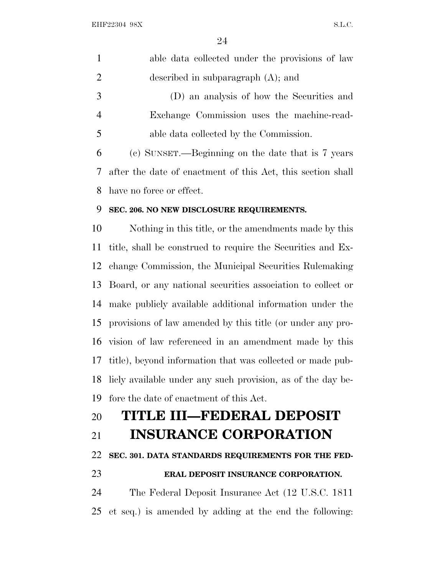| $\mathbf{1}$   | able data collected under the provisions of law               |
|----------------|---------------------------------------------------------------|
| $\overline{2}$ | described in subparagraph $(A)$ ; and                         |
| 3              | (D) an analysis of how the Securities and                     |
| $\overline{4}$ | Exchange Commission uses the machine-read-                    |
| 5              | able data collected by the Commission.                        |
| 6              | (c) SUNSET.—Beginning on the date that is 7 years             |
| 7              | after the date of enactment of this Act, this section shall   |
| 8              | have no force or effect.                                      |
| 9              | SEC. 206. NO NEW DISCLOSURE REQUIREMENTS.                     |
| 10             | Nothing in this title, or the amendments made by this         |
| 11             | title, shall be construed to require the Securities and Ex-   |
| 12             | change Commission, the Municipal Securities Rulemaking        |
| 13             | Board, or any national securities association to collect or   |
| 14             | make publicly available additional information under the      |
| 15             | provisions of law amended by this title (or under any pro-    |
| 16             | vision of law referenced in an amendment made by this         |
|                | 17 title), beyond information that was collected or made pub- |
| 18             | liely available under any such provision, as of the day be-   |
| 19             | fore the date of enactment of this Act.                       |
| 20             | TITLE III—FEDERAL DEPOSIT                                     |
| 21             | <b>INSURANCE CORPORATION</b>                                  |
| 22             | SEC. 301. DATA STANDARDS REQUIREMENTS FOR THE FED-            |
| 23             | ERAL DEPOSIT INSURANCE CORPORATION.                           |
| 24             | The Federal Deposit Insurance Act (12 U.S.C. 1811)            |
| 25             | et seq.) is amended by adding at the end the following:       |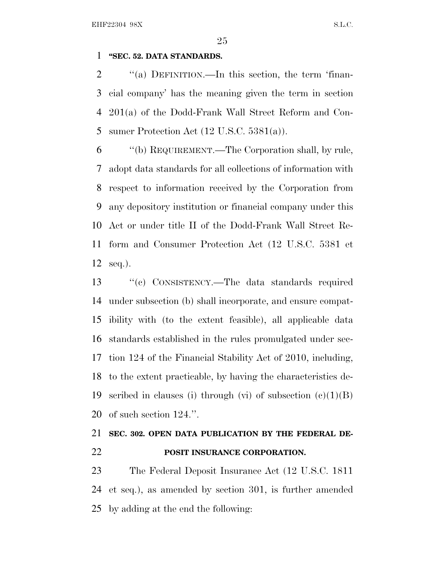## **''SEC. 52. DATA STANDARDS.**

2 "(a) DEFINITION.—In this section, the term 'finan- cial company' has the meaning given the term in section 201(a) of the Dodd-Frank Wall Street Reform and Con-sumer Protection Act (12 U.S.C. 5381(a)).

 ''(b) REQUIREMENT.—The Corporation shall, by rule, adopt data standards for all collections of information with respect to information received by the Corporation from any depository institution or financial company under this Act or under title II of the Dodd-Frank Wall Street Re- form and Consumer Protection Act (12 U.S.C. 5381 et seq.).

 ''(c) CONSISTENCY.—The data standards required under subsection (b) shall incorporate, and ensure compat- ibility with (to the extent feasible), all applicable data standards established in the rules promulgated under sec- tion 124 of the Financial Stability Act of 2010, including, to the extent practicable, by having the characteristics de-19 scribed in clauses (i) through (vi) of subsection  $(c)(1)(B)$ of such section 124.''.

# **SEC. 302. OPEN DATA PUBLICATION BY THE FEDERAL DE-POSIT INSURANCE CORPORATION.**

 The Federal Deposit Insurance Act (12 U.S.C. 1811 et seq.), as amended by section 301, is further amended by adding at the end the following: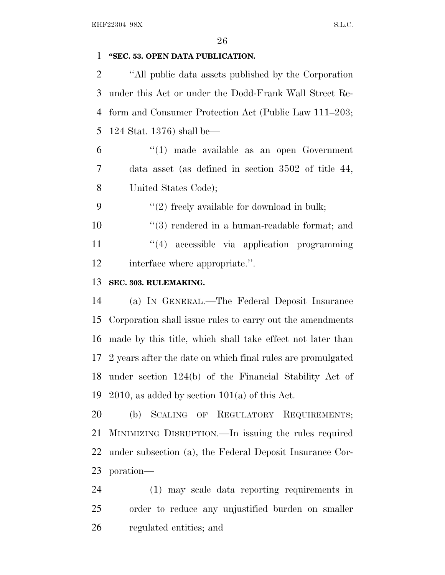# **''SEC. 53. OPEN DATA PUBLICATION.**

 ''All public data assets published by the Corporation under this Act or under the Dodd-Frank Wall Street Re- form and Consumer Protection Act (Public Law 111–203; 124 Stat. 1376) shall be—

 ''(1) made available as an open Government data asset (as defined in section 3502 of title 44, United States Code);

9  $(2)$  freely available for download in bulk;

10  $\frac{10}{2}$  rendered in a human-readable format; and 11 ''(4) accessible via application programming interface where appropriate.''.

# **SEC. 303. RULEMAKING.**

 (a) I<sup>N</sup> GENERAL.—The Federal Deposit Insurance Corporation shall issue rules to carry out the amendments made by this title, which shall take effect not later than 2 years after the date on which final rules are promulgated under section 124(b) of the Financial Stability Act of 19 2010, as added by section  $101(a)$  of this Act.

 (b) SCALING OF REGULATORY REQUIREMENTS; MINIMIZING DISRUPTION.—In issuing the rules required under subsection (a), the Federal Deposit Insurance Cor-poration—

 (1) may scale data reporting requirements in order to reduce any unjustified burden on smaller regulated entities; and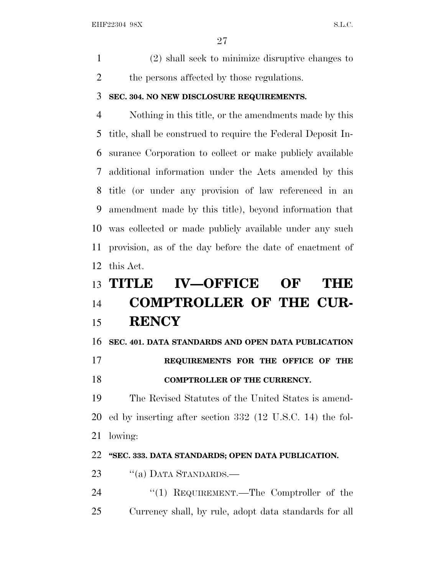(2) shall seek to minimize disruptive changes to 2 the persons affected by those regulations.

### **SEC. 304. NO NEW DISCLOSURE REQUIREMENTS.**

 Nothing in this title, or the amendments made by this title, shall be construed to require the Federal Deposit In- surance Corporation to collect or make publicly available additional information under the Acts amended by this title (or under any provision of law referenced in an amendment made by this title), beyond information that was collected or made publicly available under any such provision, as of the day before the date of enactment of this Act.

# **TITLE IV—OFFICE OF THE COMPTROLLER OF THE CUR-RENCY**

# **SEC. 401. DATA STANDARDS AND OPEN DATA PUBLICATION**

# **REQUIREMENTS FOR THE OFFICE OF THE**

# **COMPTROLLER OF THE CURRENCY.**

 The Revised Statutes of the United States is amend- ed by inserting after section 332 (12 U.S.C. 14) the fol-lowing:

# **''SEC. 333. DATA STANDARDS; OPEN DATA PUBLICATION.**

- 23 "(a) DATA STANDARDS.—
- 24 "(1) REQUIREMENT.—The Comptroller of the Currency shall, by rule, adopt data standards for all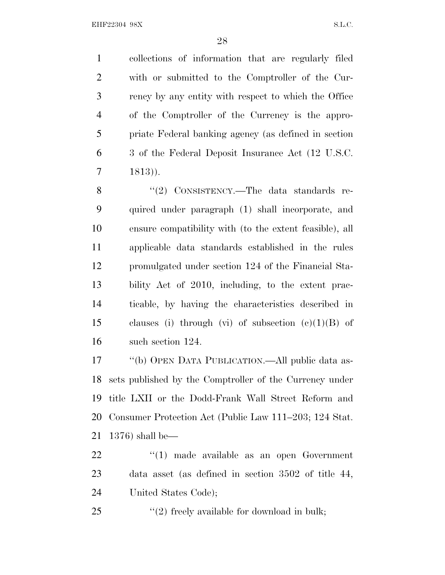collections of information that are regularly filed with or submitted to the Comptroller of the Cur- rency by any entity with respect to which the Office of the Comptroller of the Currency is the appro- priate Federal banking agency (as defined in section 3 of the Federal Deposit Insurance Act (12 U.S.C. 1813)).

8 "(2) CONSISTENCY.—The data standards re- quired under paragraph (1) shall incorporate, and ensure compatibility with (to the extent feasible), all applicable data standards established in the rules promulgated under section 124 of the Financial Sta- bility Act of 2010, including, to the extent prac- ticable, by having the characteristics described in 15 clauses (i) through (vi) of subsection  $(e)(1)(B)$  of such section 124.

 ''(b) OPEN DATA PUBLICATION.—All public data as- sets published by the Comptroller of the Currency under title LXII or the Dodd-Frank Wall Street Reform and Consumer Protection Act (Public Law 111–203; 124 Stat. 1376) shall be—

22  $\frac{1}{2}$  (1) made available as an open Government data asset (as defined in section 3502 of title 44, United States Code);

''(2) freely available for download in bulk;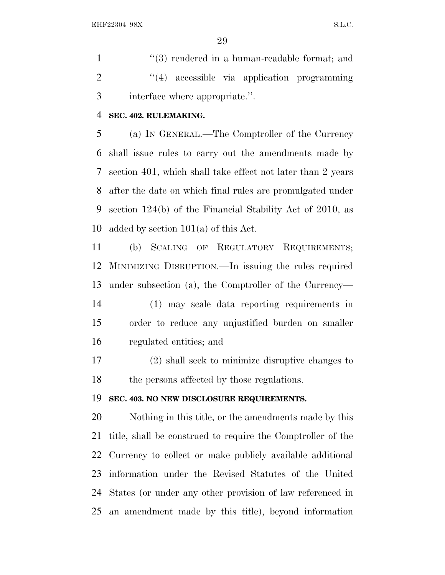1 ''(3) rendered in a human-readable format; and 2 "(4) accessible via application programming interface where appropriate.''.

### **SEC. 402. RULEMAKING.**

 (a) I<sup>N</sup> GENERAL.—The Comptroller of the Currency shall issue rules to carry out the amendments made by section 401, which shall take effect not later than 2 years after the date on which final rules are promulgated under section 124(b) of the Financial Stability Act of 2010, as 10 added by section  $101(a)$  of this Act.

 (b) SCALING OF REGULATORY REQUIREMENTS; MINIMIZING DISRUPTION.—In issuing the rules required under subsection (a), the Comptroller of the Currency—

 (1) may scale data reporting requirements in order to reduce any unjustified burden on smaller regulated entities; and

 (2) shall seek to minimize disruptive changes to the persons affected by those regulations.

### **SEC. 403. NO NEW DISCLOSURE REQUIREMENTS.**

 Nothing in this title, or the amendments made by this title, shall be construed to require the Comptroller of the Currency to collect or make publicly available additional information under the Revised Statutes of the United States (or under any other provision of law referenced in an amendment made by this title), beyond information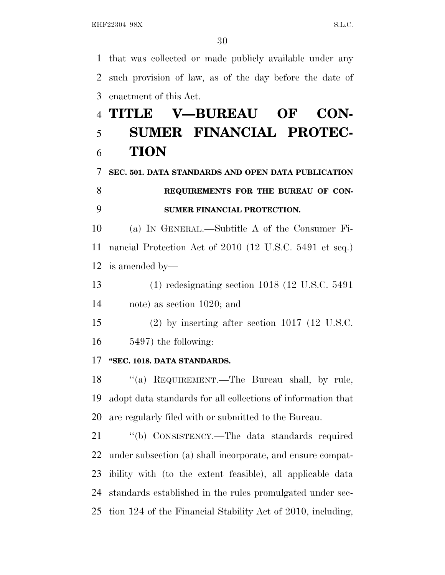that was collected or made publicly available under any such provision of law, as of the day before the date of enactment of this Act.

# **TITLE V—BUREAU OF CON- SUMER FINANCIAL PROTEC-TION**

**SEC. 501. DATA STANDARDS AND OPEN DATA PUBLICATION**

# **REQUIREMENTS FOR THE BUREAU OF CON-SUMER FINANCIAL PROTECTION.**

 (a) I<sup>N</sup> GENERAL.—Subtitle A of the Consumer Fi- nancial Protection Act of 2010 (12 U.S.C. 5491 et seq.) is amended by—

 (1) redesignating section 1018 (12 U.S.C. 5491 note) as section 1020; and

 (2) by inserting after section 1017 (12 U.S.C. 5497) the following:

# **''SEC. 1018. DATA STANDARDS.**

18 "(a) REQUIREMENT.—The Bureau shall, by rule, adopt data standards for all collections of information that are regularly filed with or submitted to the Bureau.

 ''(b) CONSISTENCY.—The data standards required under subsection (a) shall incorporate, and ensure compat- ibility with (to the extent feasible), all applicable data standards established in the rules promulgated under sec-tion 124 of the Financial Stability Act of 2010, including,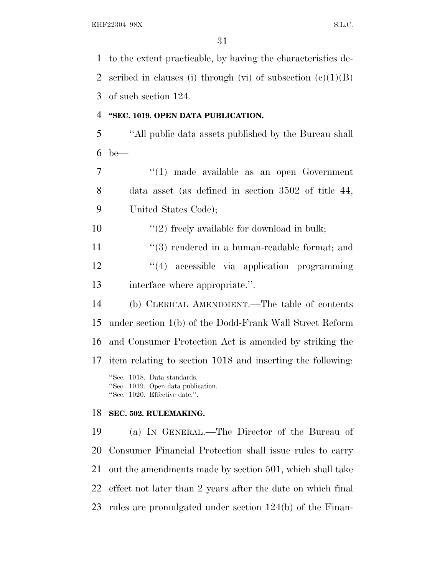to the extent practicable, by having the characteristics de-2 scribed in clauses (i) through (vi) of subsection  $(c)(1)(B)$  of such section 124. **''SEC. 1019. OPEN DATA PUBLICATION.** ''All public data assets published by the Bureau shall be— ''(1) made available as an open Government data asset (as defined in section 3502 of title 44, United States Code);  $\frac{1}{2}$  freely available for download in bulk; 11 ''(3) rendered in a human-readable format; and ''(4) accessible via application programming interface where appropriate.''. (b) CLERICAL AMENDMENT.—The table of contents under section 1(b) of the Dodd-Frank Wall Street Reform and Consumer Protection Act is amended by striking the item relating to section 1018 and inserting the following: ''Sec. 1018. Data standards. ''Sec. 1019. Open data publication. ''Sec. 1020. Effective date.''. **SEC. 502. RULEMAKING.** (a) I<sup>N</sup> GENERAL.—The Director of the Bureau of Consumer Financial Protection shall issue rules to carry out the amendments made by section 501, which shall take

effect not later than 2 years after the date on which final

rules are promulgated under section 124(b) of the Finan-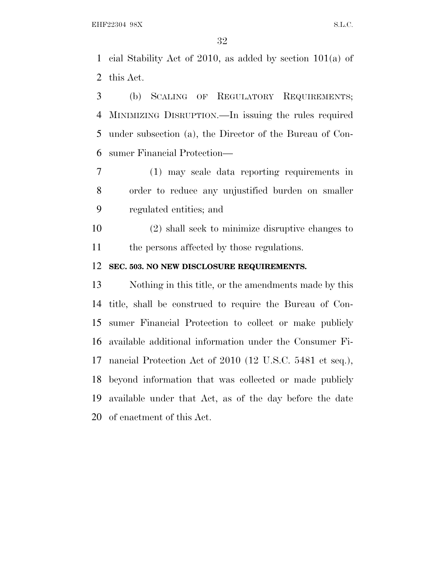cial Stability Act of 2010, as added by section 101(a) of this Act.

 (b) SCALING OF REGULATORY REQUIREMENTS; MINIMIZING DISRUPTION.—In issuing the rules required under subsection (a), the Director of the Bureau of Con-sumer Financial Protection—

 (1) may scale data reporting requirements in order to reduce any unjustified burden on smaller regulated entities; and

 (2) shall seek to minimize disruptive changes to the persons affected by those regulations.

### **SEC. 503. NO NEW DISCLOSURE REQUIREMENTS.**

 Nothing in this title, or the amendments made by this title, shall be construed to require the Bureau of Con- sumer Financial Protection to collect or make publicly available additional information under the Consumer Fi- nancial Protection Act of 2010 (12 U.S.C. 5481 et seq.), beyond information that was collected or made publicly available under that Act, as of the day before the date of enactment of this Act.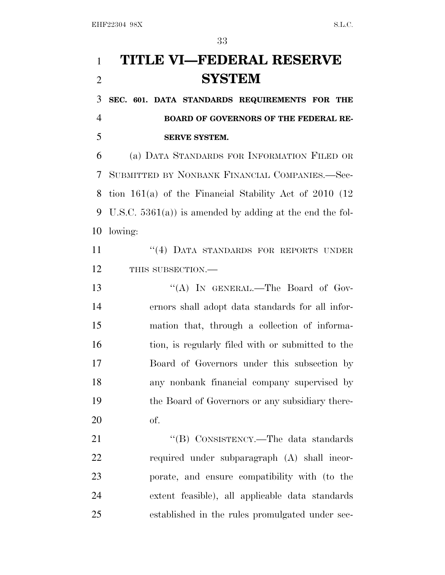# **TITLE VI—FEDERAL RESERVE SYSTEM**

 **SEC. 601. DATA STANDARDS REQUIREMENTS FOR THE BOARD OF GOVERNORS OF THE FEDERAL RE-SERVE SYSTEM.**

 (a) DATA STANDARDS FOR INFORMATION FILED OR SUBMITTED BY NONBANK FINANCIAL COMPANIES.—Sec- tion 161(a) of the Financial Stability Act of 2010 (12 U.S.C. 5361(a)) is amended by adding at the end the fol-lowing:

11 <sup>''</sup>(4) DATA STANDARDS FOR REPORTS UNDER 12 THIS SUBSECTION.—

13 "(A) In GENERAL.—The Board of Gov- ernors shall adopt data standards for all infor- mation that, through a collection of informa- tion, is regularly filed with or submitted to the Board of Governors under this subsection by any nonbank financial company supervised by the Board of Governors or any subsidiary there-of.

21 "'(B) CONSISTENCY.—The data standards required under subparagraph (A) shall incor- porate, and ensure compatibility with (to the extent feasible), all applicable data standards established in the rules promulgated under sec-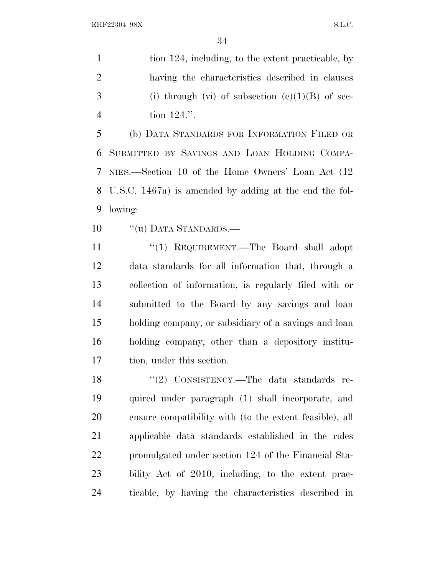1 tion 124, including, to the extent practicable, by having the characteristics described in clauses 3 (i) through (vi) of subsection  $(e)(1)(B)$  of sec-tion 124.''.

 (b) DATA STANDARDS FOR INFORMATION FILED OR SUBMITTED BY SAVINGS AND LOAN HOLDING COMPA- NIES.—Section 10 of the Home Owners' Loan Act (12 U.S.C. 1467a) is amended by adding at the end the fol-lowing:

10 "(u) DATA STANDARDS.—

11 ''(1) REQUIREMENT.—The Board shall adopt data standards for all information that, through a collection of information, is regularly filed with or submitted to the Board by any savings and loan holding company, or subsidiary of a savings and loan holding company, other than a depository institu-tion, under this section.

18 "(2) CONSISTENCY.—The data standards re- quired under paragraph (1) shall incorporate, and ensure compatibility with (to the extent feasible), all applicable data standards established in the rules promulgated under section 124 of the Financial Sta- bility Act of 2010, including, to the extent prac-ticable, by having the characteristics described in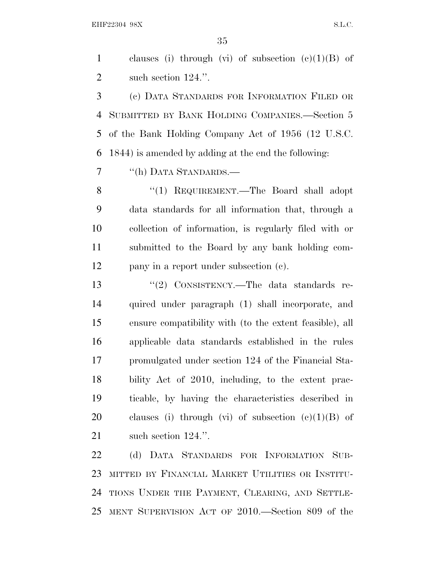1 clauses (i) through (vi) of subsection  $(c)(1)(B)$  of such section 124.''.

 (c) DATA STANDARDS FOR INFORMATION FILED OR SUBMITTED BY BANK HOLDING COMPANIES.—Section 5 of the Bank Holding Company Act of 1956 (12 U.S.C. 1844) is amended by adding at the end the following:

''(h) DATA STANDARDS.—

 ''(1) REQUIREMENT.—The Board shall adopt data standards for all information that, through a collection of information, is regularly filed with or submitted to the Board by any bank holding com-pany in a report under subsection (c).

13 "(2) CONSISTENCY.—The data standards re- quired under paragraph (1) shall incorporate, and ensure compatibility with (to the extent feasible), all applicable data standards established in the rules promulgated under section 124 of the Financial Sta- bility Act of 2010, including, to the extent prac- ticable, by having the characteristics described in 20 clauses (i) through (vi) of subsection  $(c)(1)(B)$  of 21 such section 124.".

 (d) DATA STANDARDS FOR INFORMATION SUB- MITTED BY FINANCIAL MARKET UTILITIES OR INSTITU- TIONS UNDER THE PAYMENT, CLEARING, AND SETTLE-MENT SUPERVISION ACT OF 2010.—Section 809 of the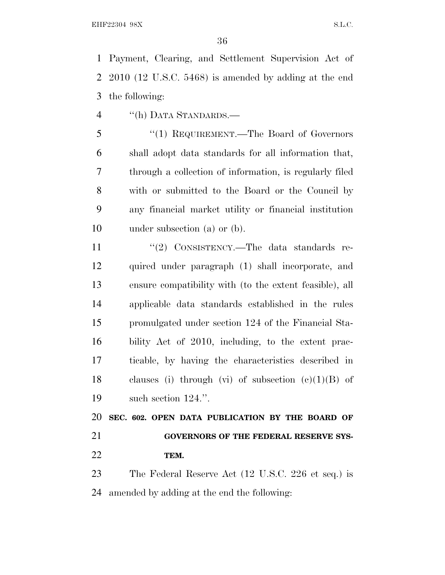Payment, Clearing, and Settlement Supervision Act of 2010 (12 U.S.C. 5468) is amended by adding at the end the following:

''(h) DATA STANDARDS.—

 ''(1) REQUIREMENT.—The Board of Governors shall adopt data standards for all information that, through a collection of information, is regularly filed with or submitted to the Board or the Council by any financial market utility or financial institution under subsection (a) or (b).

11 "(2) CONSISTENCY.—The data standards re- quired under paragraph (1) shall incorporate, and ensure compatibility with (to the extent feasible), all applicable data standards established in the rules promulgated under section 124 of the Financial Sta- bility Act of 2010, including, to the extent prac- ticable, by having the characteristics described in 18 clauses (i) through (vi) of subsection  $(c)(1)(B)$  of such section 124.''.

 **SEC. 602. OPEN DATA PUBLICATION BY THE BOARD OF GOVERNORS OF THE FEDERAL RESERVE SYS-TEM.**

 The Federal Reserve Act (12 U.S.C. 226 et seq.) is amended by adding at the end the following: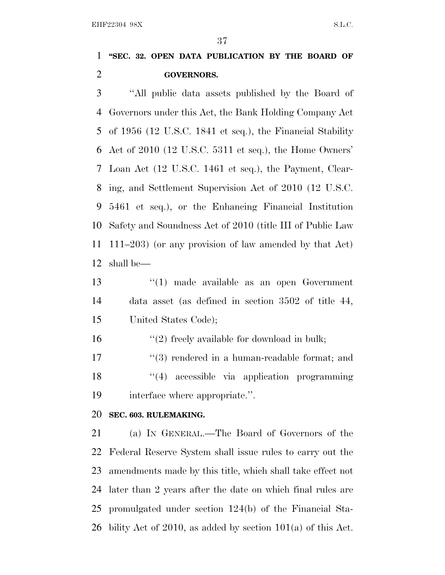# **''SEC. 32. OPEN DATA PUBLICATION BY THE BOARD OF GOVERNORS.**

 ''All public data assets published by the Board of Governors under this Act, the Bank Holding Company Act of 1956 (12 U.S.C. 1841 et seq.), the Financial Stability Act of 2010 (12 U.S.C. 5311 et seq.), the Home Owners' Loan Act (12 U.S.C. 1461 et seq.), the Payment, Clear- ing, and Settlement Supervision Act of 2010 (12 U.S.C. 5461 et seq.), or the Enhancing Financial Institution Safety and Soundness Act of 2010 (title III of Public Law 111–203) (or any provision of law amended by that Act) shall be—

 ''(1) made available as an open Government data asset (as defined in section 3502 of title 44, United States Code);

16  $\frac{16}{2}$  freely available for download in bulk;

17 ''(3) rendered in a human-readable format; and 18 ''(4) accessible via application programming interface where appropriate.''.

### **SEC. 603. RULEMAKING.**

 (a) I<sup>N</sup> GENERAL.—The Board of Governors of the Federal Reserve System shall issue rules to carry out the amendments made by this title, which shall take effect not later than 2 years after the date on which final rules are promulgated under section 124(b) of the Financial Sta-26 bility Act of 2010, as added by section  $101(a)$  of this Act.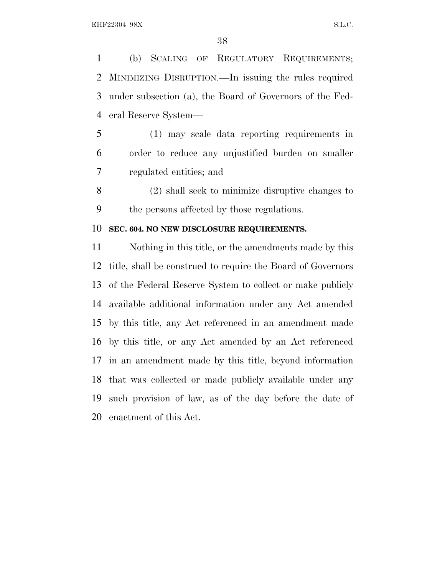(b) SCALING OF REGULATORY REQUIREMENTS; MINIMIZING DISRUPTION.—In issuing the rules required under subsection (a), the Board of Governors of the Fed-eral Reserve System—

 (1) may scale data reporting requirements in order to reduce any unjustified burden on smaller regulated entities; and

 (2) shall seek to minimize disruptive changes to the persons affected by those regulations.

### **SEC. 604. NO NEW DISCLOSURE REQUIREMENTS.**

 Nothing in this title, or the amendments made by this title, shall be construed to require the Board of Governors of the Federal Reserve System to collect or make publicly available additional information under any Act amended by this title, any Act referenced in an amendment made by this title, or any Act amended by an Act referenced in an amendment made by this title, beyond information that was collected or made publicly available under any such provision of law, as of the day before the date of enactment of this Act.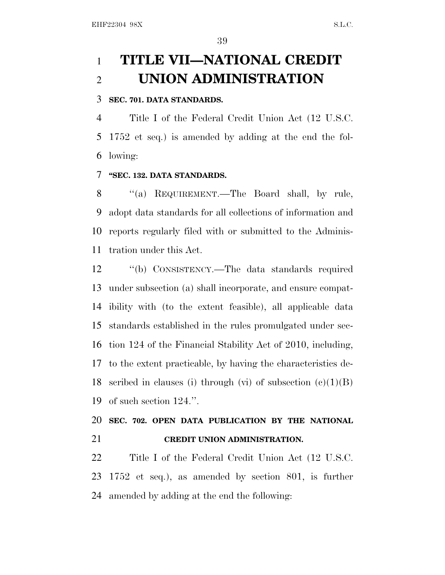# **TITLE VII—NATIONAL CREDIT UNION ADMINISTRATION**

## **SEC. 701. DATA STANDARDS.**

 Title I of the Federal Credit Union Act (12 U.S.C. 1752 et seq.) is amended by adding at the end the fol-lowing:

## **''SEC. 132. DATA STANDARDS.**

8 "(a) REQUIREMENT.—The Board shall, by rule, adopt data standards for all collections of information and reports regularly filed with or submitted to the Adminis-tration under this Act.

 ''(b) CONSISTENCY.—The data standards required under subsection (a) shall incorporate, and ensure compat- ibility with (to the extent feasible), all applicable data standards established in the rules promulgated under sec- tion 124 of the Financial Stability Act of 2010, including, to the extent practicable, by having the characteristics de-18 scribed in clauses (i) through (vi) of subsection  $(c)(1)(B)$ of such section 124.''.

# **SEC. 702. OPEN DATA PUBLICATION BY THE NATIONAL CREDIT UNION ADMINISTRATION.**

 Title I of the Federal Credit Union Act (12 U.S.C. 1752 et seq.), as amended by section 801, is further amended by adding at the end the following: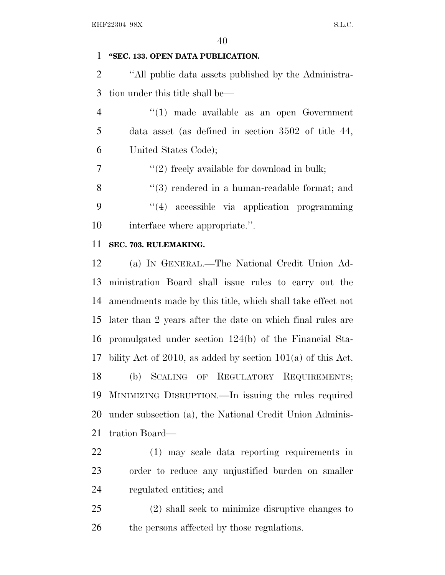# **''SEC. 133. OPEN DATA PUBLICATION.**

 ''All public data assets published by the Administra-tion under this title shall be—

- ''(1) made available as an open Government data asset (as defined in section 3502 of title 44, United States Code);
- $\frac{1}{2}$  ''(2) freely available for download in bulk;
- 8 "(3) rendered in a human-readable format; and ''(4) accessible via application programming 10 interface where appropriate.".

## **SEC. 703. RULEMAKING.**

 (a) I<sup>N</sup> GENERAL.—The National Credit Union Ad- ministration Board shall issue rules to carry out the amendments made by this title, which shall take effect not later than 2 years after the date on which final rules are promulgated under section 124(b) of the Financial Sta- bility Act of 2010, as added by section 101(a) of this Act. (b) SCALING OF REGULATORY REQUIREMENTS; MINIMIZING DISRUPTION.—In issuing the rules required under subsection (a), the National Credit Union Adminis-tration Board—

- (1) may scale data reporting requirements in order to reduce any unjustified burden on smaller regulated entities; and
- (2) shall seek to minimize disruptive changes to 26 the persons affected by those regulations.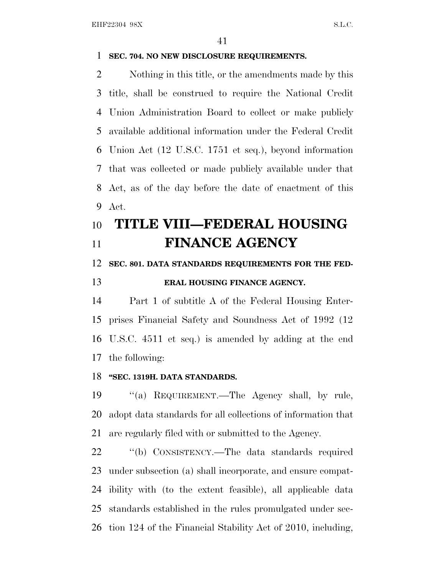## **SEC. 704. NO NEW DISCLOSURE REQUIREMENTS.**

 Nothing in this title, or the amendments made by this title, shall be construed to require the National Credit Union Administration Board to collect or make publicly available additional information under the Federal Credit Union Act (12 U.S.C. 1751 et seq.), beyond information that was collected or made publicly available under that Act, as of the day before the date of enactment of this Act.

# **TITLE VIII—FEDERAL HOUSING FINANCE AGENCY**

# **SEC. 801. DATA STANDARDS REQUIREMENTS FOR THE FED-**

# **ERAL HOUSING FINANCE AGENCY.**

 Part 1 of subtitle A of the Federal Housing Enter- prises Financial Safety and Soundness Act of 1992 (12 U.S.C. 4511 et seq.) is amended by adding at the end the following:

## **''SEC. 1319H. DATA STANDARDS.**

 ''(a) REQUIREMENT.—The Agency shall, by rule, adopt data standards for all collections of information that are regularly filed with or submitted to the Agency.

 ''(b) CONSISTENCY.—The data standards required under subsection (a) shall incorporate, and ensure compat- ibility with (to the extent feasible), all applicable data standards established in the rules promulgated under sec-tion 124 of the Financial Stability Act of 2010, including,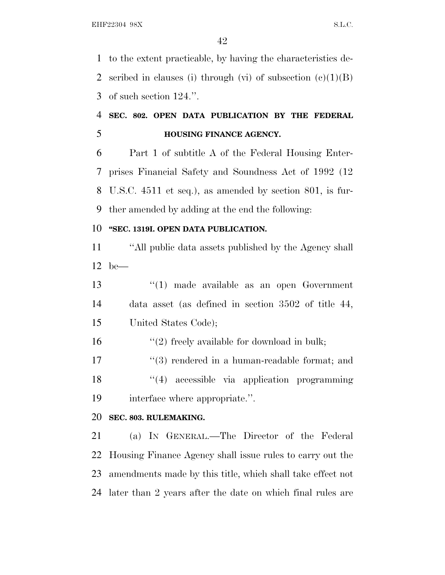to the extent practicable, by having the characteristics de-2 scribed in clauses (i) through (vi) of subsection  $(c)(1)(B)$ of such section 124.''.

# **SEC. 802. OPEN DATA PUBLICATION BY THE FEDERAL HOUSING FINANCE AGENCY.**

 Part 1 of subtitle A of the Federal Housing Enter- prises Financial Safety and Soundness Act of 1992 (12 U.S.C. 4511 et seq.), as amended by section 801, is fur-ther amended by adding at the end the following:

# **''SEC. 1319I. OPEN DATA PUBLICATION.**

 ''All public data assets published by the Agency shall be—

 ''(1) made available as an open Government data asset (as defined in section 3502 of title 44, United States Code);

16  $"(2)$  freely available for download in bulk;

17 ''(3) rendered in a human-readable format; and 18 ''(4) accessible via application programming interface where appropriate.''.

# **SEC. 803. RULEMAKING.**

 (a) I<sup>N</sup> GENERAL.—The Director of the Federal Housing Finance Agency shall issue rules to carry out the amendments made by this title, which shall take effect not later than 2 years after the date on which final rules are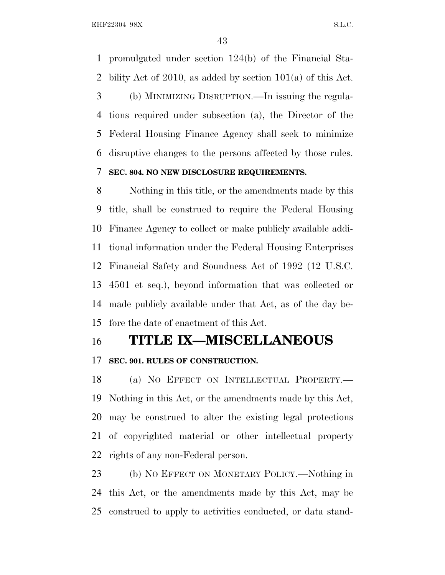promulgated under section 124(b) of the Financial Sta- bility Act of 2010, as added by section 101(a) of this Act. (b) MINIMIZING DISRUPTION.—In issuing the regula- tions required under subsection (a), the Director of the Federal Housing Finance Agency shall seek to minimize disruptive changes to the persons affected by those rules. **SEC. 804. NO NEW DISCLOSURE REQUIREMENTS.**

 Nothing in this title, or the amendments made by this title, shall be construed to require the Federal Housing Finance Agency to collect or make publicly available addi- tional information under the Federal Housing Enterprises Financial Safety and Soundness Act of 1992 (12 U.S.C. 4501 et seq.), beyond information that was collected or made publicly available under that Act, as of the day be-fore the date of enactment of this Act.

# **TITLE IX—MISCELLANEOUS**

# **SEC. 901. RULES OF CONSTRUCTION.**

 (a) N<sup>O</sup> EFFECT ON INTELLECTUAL PROPERTY.— Nothing in this Act, or the amendments made by this Act, may be construed to alter the existing legal protections of copyrighted material or other intellectual property rights of any non-Federal person.

 (b) N<sup>O</sup> EFFECT ON MONETARY POLICY.—Nothing in this Act, or the amendments made by this Act, may be construed to apply to activities conducted, or data stand-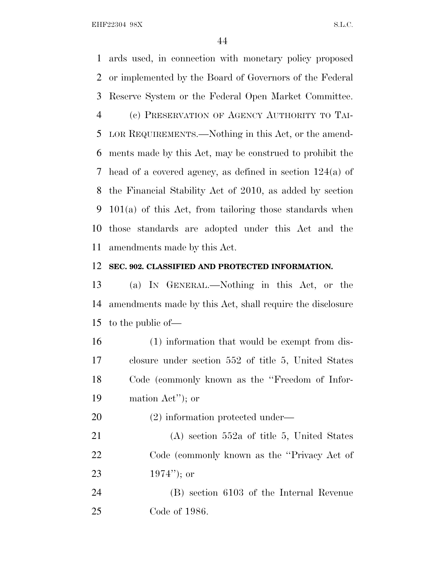ards used, in connection with monetary policy proposed or implemented by the Board of Governors of the Federal Reserve System or the Federal Open Market Committee. (c) PRESERVATION OF AGENCY AUTHORITY TO TAI- LOR REQUIREMENTS.—Nothing in this Act, or the amend- ments made by this Act, may be construed to prohibit the head of a covered agency, as defined in section 124(a) of the Financial Stability Act of 2010, as added by section 101(a) of this Act, from tailoring those standards when those standards are adopted under this Act and the amendments made by this Act.

## **SEC. 902. CLASSIFIED AND PROTECTED INFORMATION.**

 (a) I<sup>N</sup> GENERAL.—Nothing in this Act, or the amendments made by this Act, shall require the disclosure to the public of—

- (1) information that would be exempt from dis- closure under section 552 of title 5, United States Code (commonly known as the ''Freedom of Infor-mation Act''); or
- (2) information protected under—

 (A) section 552a of title 5, United States Code (commonly known as the ''Privacy Act of 1974''); or

 (B) section 6103 of the Internal Revenue Code of 1986.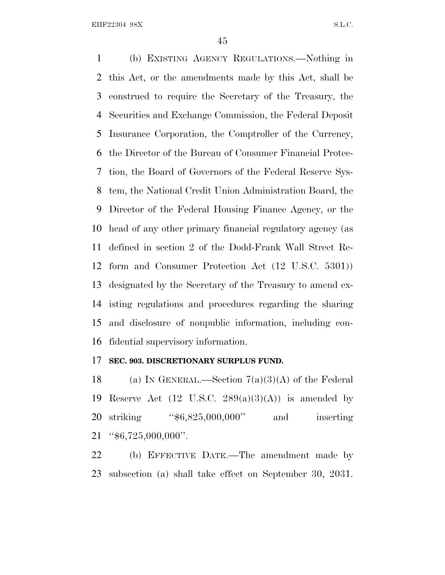(b) EXISTING AGENCY REGULATIONS.—Nothing in this Act, or the amendments made by this Act, shall be construed to require the Secretary of the Treasury, the Securities and Exchange Commission, the Federal Deposit Insurance Corporation, the Comptroller of the Currency, the Director of the Bureau of Consumer Financial Protec- tion, the Board of Governors of the Federal Reserve Sys- tem, the National Credit Union Administration Board, the Director of the Federal Housing Finance Agency, or the head of any other primary financial regulatory agency (as defined in section 2 of the Dodd-Frank Wall Street Re- form and Consumer Protection Act (12 U.S.C. 5301)) designated by the Secretary of the Treasury to amend ex- isting regulations and procedures regarding the sharing and disclosure of nonpublic information, including con-fidential supervisory information.

### **SEC. 903. DISCRETIONARY SURPLUS FUND.**

18 (a) IN GENERAL.—Section  $7(a)(3)(A)$  of the Federal 19 Reserve Act  $(12 \text{ U.S.C. } 289(a)(3)(\text{A}))$  is amended by 20 striking "\$6,825,000,000" and inserting "\$6,725,000,000".

 (b) EFFECTIVE DATE.—The amendment made by subsection (a) shall take effect on September 30, 2031.